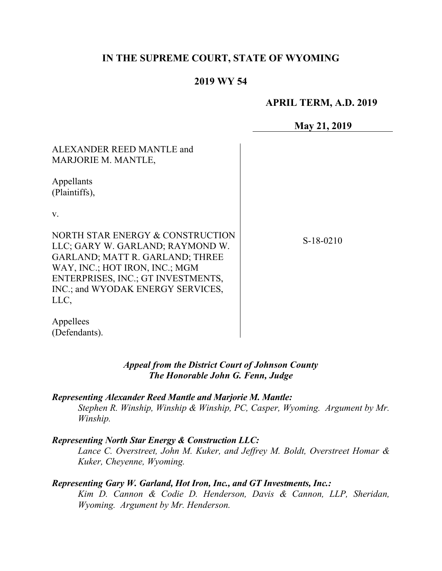## **IN THE SUPREME COURT, STATE OF WYOMING**

## **2019 WY 54**

### **APRIL TERM, A.D. 2019**

**May 21, 2019**

| ALEXANDER REED MANTLE and<br>MARJORIE M. MANTLE,                                                                                                                                                                                    |             |
|-------------------------------------------------------------------------------------------------------------------------------------------------------------------------------------------------------------------------------------|-------------|
| Appellants<br>(Plaintiffs),                                                                                                                                                                                                         |             |
| V.                                                                                                                                                                                                                                  |             |
| NORTH STAR ENERGY & CONSTRUCTION<br>LLC; GARY W. GARLAND; RAYMOND W.<br><b>GARLAND; MATT R. GARLAND; THREE</b><br>WAY, INC.; HOT IRON, INC.; MGM<br>ENTERPRISES, INC.; GT INVESTMENTS,<br>INC.; and WYODAK ENERGY SERVICES,<br>LLC, | $S-18-0210$ |
| Appellees<br>(Defendants).                                                                                                                                                                                                          |             |

#### *Appeal from the District Court of Johnson County The Honorable John G. Fenn, Judge*

*Representing Alexander Reed Mantle and Marjorie M. Mantle:*

*Stephen R. Winship, Winship & Winship, PC, Casper, Wyoming. Argument by Mr. Winship.*

#### *Representing North Star Energy & Construction LLC:*

*Lance C. Overstreet, John M. Kuker, and Jeffrey M. Boldt, Overstreet Homar & Kuker, Cheyenne, Wyoming.*

### *Representing Gary W. Garland, Hot Iron, Inc., and GT Investments, Inc.:*

*Kim D. Cannon & Codie D. Henderson, Davis & Cannon, LLP, Sheridan, Wyoming. Argument by Mr. Henderson.*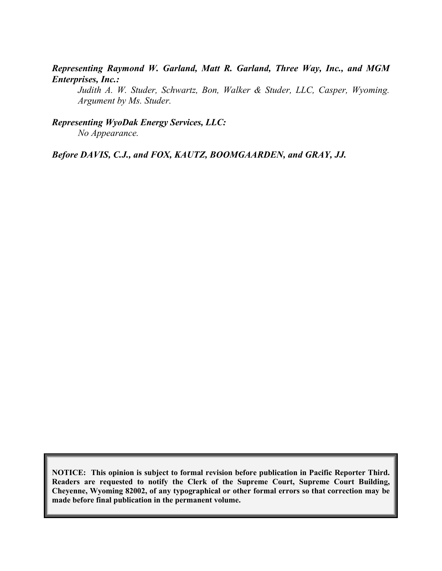### *Representing Raymond W. Garland, Matt R. Garland, Three Way, Inc., and MGM Enterprises, Inc.:*

*Judith A. W. Studer, Schwartz, Bon, Walker & Studer, LLC, Casper, Wyoming. Argument by Ms. Studer.*

*Representing WyoDak Energy Services, LLC: No Appearance.*

*Before DAVIS, C.J., and FOX, KAUTZ, BOOMGAARDEN, and GRAY, JJ.*

**NOTICE: This opinion is subject to formal revision before publication in Pacific Reporter Third. Readers are requested to notify the Clerk of the Supreme Court, Supreme Court Building, Cheyenne, Wyoming 82002, of any typographical or other formal errors so that correction may be made before final publication in the permanent volume.**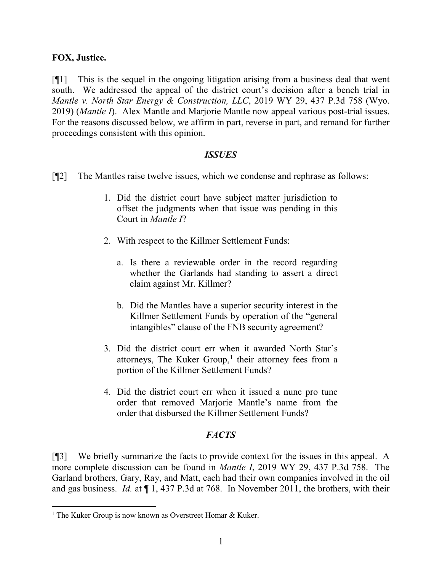### **FOX, Justice.**

[¶1] This is the sequel in the ongoing litigation arising from a business deal that went south. We addressed the appeal of the district court's decision after a bench trial in *Mantle v. North Star Energy & Construction, LLC*, 2019 WY 29, 437 P.3d 758 (Wyo. 2019) (*Mantle I*). Alex Mantle and Marjorie Mantle now appeal various post-trial issues. For the reasons discussed below, we affirm in part, reverse in part, and remand for further proceedings consistent with this opinion.

#### *ISSUES*

- [¶2] The Mantles raise twelve issues, which we condense and rephrase as follows:
	- 1. Did the district court have subject matter jurisdiction to offset the judgments when that issue was pending in this Court in *Mantle I*?
	- 2. With respect to the Killmer Settlement Funds:
		- a. Is there a reviewable order in the record regarding whether the Garlands had standing to assert a direct claim against Mr. Killmer?
		- b. Did the Mantles have a superior security interest in the Killmer Settlement Funds by operation of the "general intangibles" clause of the FNB security agreement?
	- 3. Did the district court err when it awarded North Star's attorneys, The Kuker Group, $<sup>1</sup>$  $<sup>1</sup>$  $<sup>1</sup>$  their attorney fees from a</sup> portion of the Killmer Settlement Funds?
	- 4. Did the district court err when it issued a nunc pro tunc order that removed Marjorie Mantle's name from the order that disbursed the Killmer Settlement Funds?

# *FACTS*

[¶3] We briefly summarize the facts to provide context for the issues in this appeal. A more complete discussion can be found in *Mantle I*, 2019 WY 29, 437 P.3d 758. The Garland brothers, Gary, Ray, and Matt, each had their own companies involved in the oil and gas business. *Id.* at ¶ 1, 437 P.3d at 768. In November 2011, the brothers, with their

<span id="page-2-0"></span><sup>&</sup>lt;sup>1</sup> The Kuker Group is now known as Overstreet Homar & Kuker.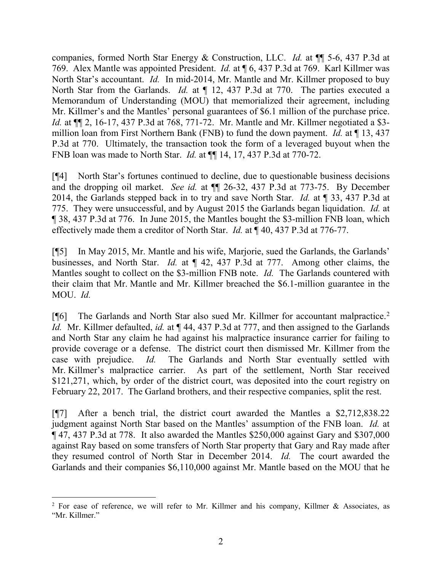companies, formed North Star Energy & Construction, LLC. *Id.* at ¶¶ 5-6, 437 P.3d at 769. Alex Mantle was appointed President. *Id.* at ¶ 6, 437 P.3d at 769. Karl Killmer was North Star's accountant. *Id.* In mid-2014, Mr. Mantle and Mr. Killmer proposed to buy North Star from the Garlands. *Id.* at  $\P$  12, 437 P.3d at 770. The parties executed a Memorandum of Understanding (MOU) that memorialized their agreement, including Mr. Killmer's and the Mantles' personal guarantees of \$6.1 million of the purchase price. *Id.* at ¶¶ 2, 16-17, 437 P.3d at 768, 771-72. Mr. Mantle and Mr. Killmer negotiated a \$3 million loan from First Northern Bank (FNB) to fund the down payment. *Id.* at ¶ 13, 437 P.3d at 770. Ultimately, the transaction took the form of a leveraged buyout when the FNB loan was made to North Star. *Id.* at ¶¶ 14, 17, 437 P.3d at 770-72.

[¶4] North Star's fortunes continued to decline, due to questionable business decisions and the dropping oil market. *See id.* at ¶¶ 26-32, 437 P.3d at 773-75. By December 2014, the Garlands stepped back in to try and save North Star. *Id.* at ¶ 33, 437 P.3d at 775. They were unsuccessful, and by August 2015 the Garlands began liquidation. *Id.* at ¶ 38, 437 P.3d at 776. In June 2015, the Mantles bought the \$3-million FNB loan, which effectively made them a creditor of North Star. *Id.* at ¶ 40, 437 P.3d at 776-77.

[¶5] In May 2015, Mr. Mantle and his wife, Marjorie, sued the Garlands, the Garlands' businesses, and North Star. *Id.* at ¶ 42, 437 P.3d at 777. Among other claims, the Mantles sought to collect on the \$3-million FNB note. *Id.* The Garlands countered with their claim that Mr. Mantle and Mr. Killmer breached the \$6.1-million guarantee in the MOU. *Id.*

[¶6] The Garlands and North Star also sued Mr. Killmer for accountant malpractice.<sup>[2](#page-3-0)</sup> *Id.* Mr. Killmer defaulted, *id.* at  $\P$  44, 437 P.3d at 777, and then assigned to the Garlands and North Star any claim he had against his malpractice insurance carrier for failing to provide coverage or a defense. The district court then dismissed Mr. Killmer from the case with prejudice. *Id.* The Garlands and North Star eventually settled with Mr. Killmer's malpractice carrier. As part of the settlement, North Star received \$121,271, which, by order of the district court, was deposited into the court registry on February 22, 2017. The Garland brothers, and their respective companies, split the rest.

[¶7] After a bench trial, the district court awarded the Mantles a \$2,712,838.22 judgment against North Star based on the Mantles' assumption of the FNB loan. *Id.* at ¶ 47, 437 P.3d at 778. It also awarded the Mantles \$250,000 against Gary and \$307,000 against Ray based on some transfers of North Star property that Gary and Ray made after they resumed control of North Star in December 2014. *Id.* The court awarded the Garlands and their companies \$6,110,000 against Mr. Mantle based on the MOU that he

<span id="page-3-0"></span> $2$  For ease of reference, we will refer to Mr. Killmer and his company, Killmer & Associates, as "Mr. Killmer."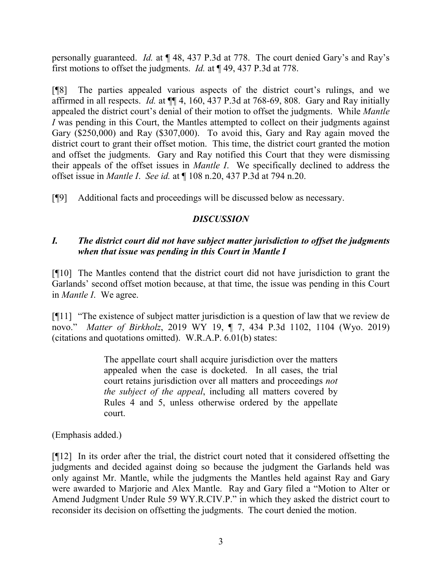personally guaranteed. *Id.* at ¶ 48, 437 P.3d at 778. The court denied Gary's and Ray's first motions to offset the judgments. *Id.* at ¶ 49, 437 P.3d at 778.

[¶8] The parties appealed various aspects of the district court's rulings, and we affirmed in all respects. *Id.* at ¶¶ 4, 160, 437 P.3d at 768-69, 808. Gary and Ray initially appealed the district court's denial of their motion to offset the judgments. While *Mantle I* was pending in this Court, the Mantles attempted to collect on their judgments against Gary (\$250,000) and Ray (\$307,000). To avoid this, Gary and Ray again moved the district court to grant their offset motion. This time, the district court granted the motion and offset the judgments. Gary and Ray notified this Court that they were dismissing their appeals of the offset issues in *Mantle I*. We specifically declined to address the offset issue in *Mantle I*. *See id.* at ¶ 108 n.20, 437 P.3d at 794 n.20.

[¶9] Additional facts and proceedings will be discussed below as necessary.

## *DISCUSSION*

# *I. The district court did not have subject matter jurisdiction to offset the judgments when that issue was pending in this Court in Mantle I*

[¶10] The Mantles contend that the district court did not have jurisdiction to grant the Garlands' second offset motion because, at that time, the issue was pending in this Court in *Mantle I*. We agree.

[¶11] "The existence of subject matter jurisdiction is a question of law that we review de novo." *Matter of Birkholz*, 2019 WY 19, ¶ 7, 434 P.3d 1102, 1104 (Wyo. 2019) (citations and quotations omitted). W.R.A.P. 6.01(b) states:

> The appellate court shall acquire jurisdiction over the matters appealed when the case is docketed. In all cases, the trial court retains jurisdiction over all matters and proceedings *not the subject of the appeal*, including all matters covered by Rules 4 and 5, unless otherwise ordered by the appellate court.

(Emphasis added.)

[¶12] In its order after the trial, the district court noted that it considered offsetting the judgments and decided against doing so because the judgment the Garlands held was only against Mr. Mantle, while the judgments the Mantles held against Ray and Gary were awarded to Marjorie and Alex Mantle. Ray and Gary filed a "Motion to Alter or Amend Judgment Under Rule 59 WY.R.CIV.P." in which they asked the district court to reconsider its decision on offsetting the judgments. The court denied the motion.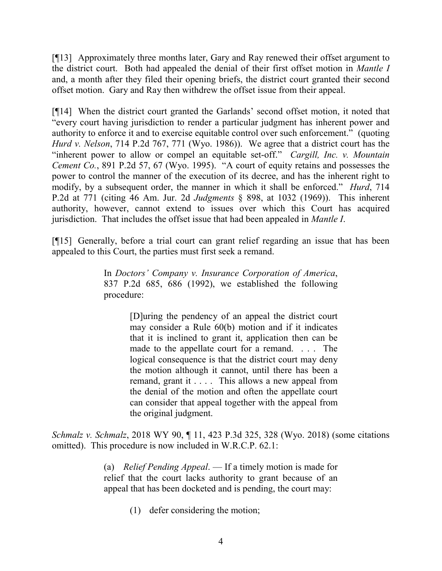[¶13] Approximately three months later, Gary and Ray renewed their offset argument to the district court. Both had appealed the denial of their first offset motion in *Mantle I* and, a month after they filed their opening briefs, the district court granted their second offset motion. Gary and Ray then withdrew the offset issue from their appeal.

[¶14] When the district court granted the Garlands' second offset motion, it noted that "every court having jurisdiction to render a particular judgment has inherent power and authority to enforce it and to exercise equitable control over such enforcement." (quoting *Hurd v. Nelson*, 714 P.2d 767, 771 (Wyo. 1986)). We agree that a district court has the "inherent power to allow or compel an equitable set-off." *Cargill, Inc. v. Mountain Cement Co.*, 891 P.2d 57, 67 (Wyo. 1995). "A court of equity retains and possesses the power to control the manner of the execution of its decree, and has the inherent right to modify, by a subsequent order, the manner in which it shall be enforced." *Hurd*, 714 P.2d at 771 (citing 46 Am. Jur. 2d *Judgments* § 898, at 1032 (1969)). This inherent authority, however, cannot extend to issues over which this Court has acquired jurisdiction. That includes the offset issue that had been appealed in *Mantle I*.

[¶15] Generally, before a trial court can grant relief regarding an issue that has been appealed to this Court, the parties must first seek a remand.

> In *Doctors' Company v. Insurance Corporation of America*, 837 P.2d 685, 686 (1992), we established the following procedure:

> > [D]uring the pendency of an appeal the district court may consider a Rule 60(b) motion and if it indicates that it is inclined to grant it, application then can be made to the appellate court for a remand. . . . The logical consequence is that the district court may deny the motion although it cannot, until there has been a remand, grant it . . . . This allows a new appeal from the denial of the motion and often the appellate court can consider that appeal together with the appeal from the original judgment.

*Schmalz v. Schmalz*, 2018 WY 90, ¶ 11, 423 P.3d 325, 328 (Wyo. 2018) (some citations omitted). This procedure is now included in W.R.C.P. 62.1:

> (a) *Relief Pending Appeal*. — If a timely motion is made for relief that the court lacks authority to grant because of an appeal that has been docketed and is pending, the court may:

> > (1) defer considering the motion;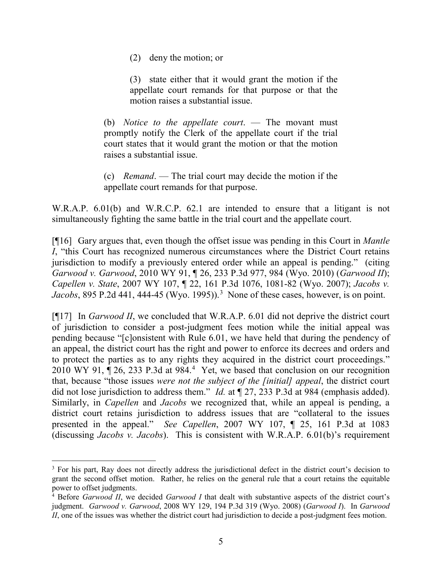(2) deny the motion; or

(3) state either that it would grant the motion if the appellate court remands for that purpose or that the motion raises a substantial issue.

(b) *Notice to the appellate court*. — The movant must promptly notify the Clerk of the appellate court if the trial court states that it would grant the motion or that the motion raises a substantial issue.

(c) *Remand*. — The trial court may decide the motion if the appellate court remands for that purpose.

W.R.A.P. 6.01(b) and W.R.C.P. 62.1 are intended to ensure that a litigant is not simultaneously fighting the same battle in the trial court and the appellate court.

[¶16] Gary argues that, even though the offset issue was pending in this Court in *Mantle I*, "this Court has recognized numerous circumstances where the District Court retains jurisdiction to modify a previously entered order while an appeal is pending." (citing *Garwood v. Garwood*, 2010 WY 91, ¶ 26, 233 P.3d 977, 984 (Wyo. 2010) (*Garwood II*); *Capellen v. State*, 2007 WY 107, ¶ 22, 161 P.3d 1076, 1081-82 (Wyo. 2007); *Jacobs v. Jacobs*, 895 P.2d 441, 444-45 (Wyo. 1995)).<sup>[3](#page-6-0)</sup> None of these cases, however, is on point.

[¶17] In *Garwood II*, we concluded that W.R.A.P. 6.01 did not deprive the district court of jurisdiction to consider a post-judgment fees motion while the initial appeal was pending because "[c]onsistent with Rule 6.01, we have held that during the pendency of an appeal, the district court has the right and power to enforce its decrees and orders and to protect the parties as to any rights they acquired in the district court proceedings." 2010 WY 91,  $\P$  26, 233 P.3d at 98[4](#page-6-1).<sup>4</sup> Yet, we based that conclusion on our recognition that, because "those issues *were not the subject of the [initial] appeal*, the district court did not lose jurisdiction to address them." *Id.* at  $\mathbb{I}$  27, 233 P.3d at 984 (emphasis added). Similarly, in *Capellen* and *Jacobs* we recognized that, while an appeal is pending, a district court retains jurisdiction to address issues that are "collateral to the issues presented in the appeal." *See Capellen*, 2007 WY 107, ¶ 25, 161 P.3d at 1083 (discussing *Jacobs v. Jacobs*). This is consistent with W.R.A.P. 6.01(b)'s requirement

<span id="page-6-0"></span><sup>&</sup>lt;sup>3</sup> For his part, Ray does not directly address the jurisdictional defect in the district court's decision to grant the second offset motion. Rather, he relies on the general rule that a court retains the equitable power to offset judgments.

<span id="page-6-1"></span><sup>4</sup> Before *Garwood II*, we decided *Garwood I* that dealt with substantive aspects of the district court's judgment. *Garwood v. Garwood*, 2008 WY 129, 194 P.3d 319 (Wyo. 2008) (*Garwood I*). In *Garwood II*, one of the issues was whether the district court had jurisdiction to decide a post-judgment fees motion.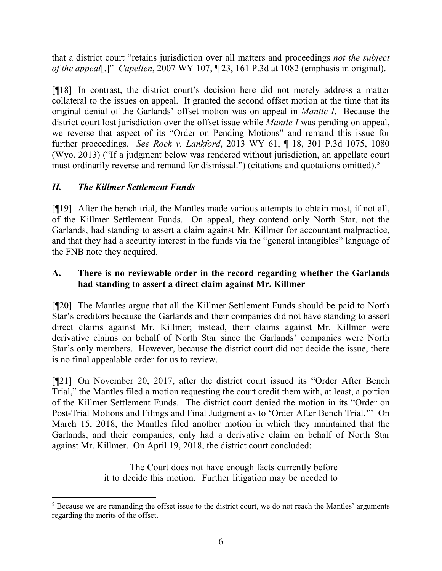that a district court "retains jurisdiction over all matters and proceedings *not the subject of the appeal*[.]" *Capellen*, 2007 WY 107, ¶ 23, 161 P.3d at 1082 (emphasis in original).

[¶18] In contrast, the district court's decision here did not merely address a matter collateral to the issues on appeal. It granted the second offset motion at the time that its original denial of the Garlands' offset motion was on appeal in *Mantle I*. Because the district court lost jurisdiction over the offset issue while *Mantle I* was pending on appeal, we reverse that aspect of its "Order on Pending Motions" and remand this issue for further proceedings. *See Rock v. Lankford*, 2013 WY 61, ¶ 18, 301 P.3d 1075, 1080 (Wyo. 2013) ("If a judgment below was rendered without jurisdiction, an appellate court must ordinarily reverse and remand for dismissal.") (citations and quotations omitted).<sup>[5](#page-7-0)</sup>

# *II. The Killmer Settlement Funds*

[¶19] After the bench trial, the Mantles made various attempts to obtain most, if not all, of the Killmer Settlement Funds. On appeal, they contend only North Star, not the Garlands, had standing to assert a claim against Mr. Killmer for accountant malpractice, and that they had a security interest in the funds via the "general intangibles" language of the FNB note they acquired.

## **A. There is no reviewable order in the record regarding whether the Garlands had standing to assert a direct claim against Mr. Killmer**

[¶20] The Mantles argue that all the Killmer Settlement Funds should be paid to North Star's creditors because the Garlands and their companies did not have standing to assert direct claims against Mr. Killmer; instead, their claims against Mr. Killmer were derivative claims on behalf of North Star since the Garlands' companies were North Star's only members. However, because the district court did not decide the issue, there is no final appealable order for us to review.

[¶21] On November 20, 2017, after the district court issued its "Order After Bench Trial," the Mantles filed a motion requesting the court credit them with, at least, a portion of the Killmer Settlement Funds. The district court denied the motion in its "Order on Post-Trial Motions and Filings and Final Judgment as to 'Order After Bench Trial.'" On March 15, 2018, the Mantles filed another motion in which they maintained that the Garlands, and their companies, only had a derivative claim on behalf of North Star against Mr. Killmer. On April 19, 2018, the district court concluded:

> The Court does not have enough facts currently before it to decide this motion. Further litigation may be needed to

<span id="page-7-0"></span><sup>&</sup>lt;sup>5</sup> Because we are remanding the offset issue to the district court, we do not reach the Mantles' arguments regarding the merits of the offset.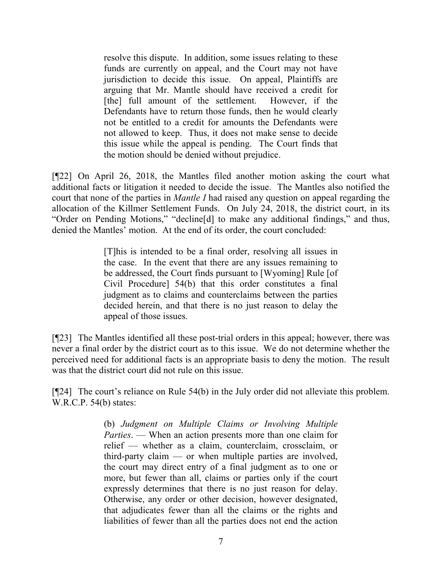resolve this dispute. In addition, some issues relating to these funds are currently on appeal, and the Court may not have jurisdiction to decide this issue. On appeal, Plaintiffs are arguing that Mr. Mantle should have received a credit for [the] full amount of the settlement. However, if the Defendants have to return those funds, then he would clearly not be entitled to a credit for amounts the Defendants were not allowed to keep. Thus, it does not make sense to decide this issue while the appeal is pending. The Court finds that the motion should be denied without prejudice.

[¶22] On April 26, 2018, the Mantles filed another motion asking the court what additional facts or litigation it needed to decide the issue. The Mantles also notified the court that none of the parties in *Mantle I* had raised any question on appeal regarding the allocation of the Killmer Settlement Funds. On July 24, 2018, the district court, in its "Order on Pending Motions," "decline[d] to make any additional findings," and thus, denied the Mantles' motion. At the end of its order, the court concluded:

> [T]his is intended to be a final order, resolving all issues in the case. In the event that there are any issues remaining to be addressed, the Court finds pursuant to [Wyoming] Rule [of Civil Procedure] 54(b) that this order constitutes a final judgment as to claims and counterclaims between the parties decided herein, and that there is no just reason to delay the appeal of those issues.

[¶23] The Mantles identified all these post-trial orders in this appeal; however, there was never a final order by the district court as to this issue. We do not determine whether the perceived need for additional facts is an appropriate basis to deny the motion. The result was that the district court did not rule on this issue.

[¶24] The court's reliance on Rule 54(b) in the July order did not alleviate this problem. W.R.C.P. 54(b) states:

> (b) *Judgment on Multiple Claims or Involving Multiple Parties*. — When an action presents more than one claim for relief — whether as a claim, counterclaim, crossclaim, or third-party claim — or when multiple parties are involved, the court may direct entry of a final judgment as to one or more, but fewer than all, claims or parties only if the court expressly determines that there is no just reason for delay. Otherwise, any order or other decision, however designated, that adjudicates fewer than all the claims or the rights and liabilities of fewer than all the parties does not end the action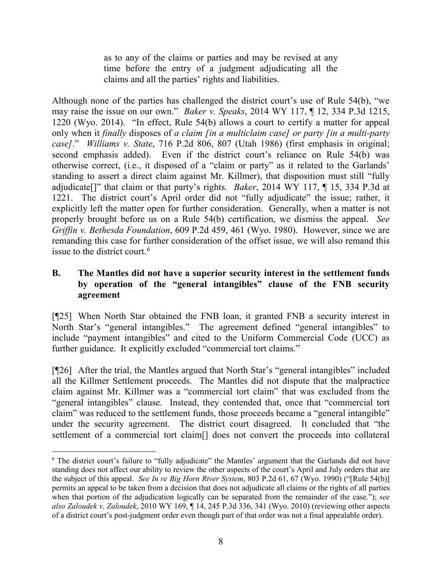as to any of the claims or parties and may be revised at any time before the entry of a judgment adjudicating all the claims and all the parties' rights and liabilities.

Although none of the parties has challenged the district court's use of Rule 54(b), "we may raise the issue on our own." *Baker v. Speaks*, 2014 WY 117, ¶ 12, 334 P.3d 1215, 1220 (Wyo. 2014). "In effect, Rule 54(b) allows a court to certify a matter for appeal only when it *finally* disposes of *a claim [in a multiclaim case] or party [in a multi-party case]*." *Williams v. State*, 716 P.2d 806, 807 (Utah 1986) (first emphasis in original; second emphasis added). Even if the district court's reliance on Rule 54(b) was otherwise correct, (i.e., it disposed of a "claim or party" as it related to the Garlands' standing to assert a direct claim against Mr. Killmer), that disposition must still "fully adjudicate[]" that claim or that party's rights. *Baker*, 2014 WY 117, ¶ 15, 334 P.3d at 1221. The district court's April order did not "fully adjudicate" the issue; rather, it explicitly left the matter open for further consideration. Generally, when a matter is not properly brought before us on a Rule 54(b) certification, we dismiss the appeal. *See Griffin v. Bethesda Foundation*, 609 P.2d 459, 461 (Wyo. 1980). However, since we are remanding this case for further consideration of the offset issue, we will also remand this issue to the district court.[6](#page-9-0)

## **B. The Mantles did not have a superior security interest in the settlement funds by operation of the "general intangibles" clause of the FNB security agreement**

[¶25] When North Star obtained the FNB loan, it granted FNB a security interest in North Star's "general intangibles." The agreement defined "general intangibles" to include "payment intangibles" and cited to the Uniform Commercial Code (UCC) as further guidance. It explicitly excluded "commercial tort claims."

[¶26] After the trial, the Mantles argued that North Star's "general intangibles" included all the Killmer Settlement proceeds. The Mantles did not dispute that the malpractice claim against Mr. Killmer was a "commercial tort claim" that was excluded from the "general intangibles" clause. Instead, they contended that, once that "commercial tort claim" was reduced to the settlement funds, those proceeds became a "general intangible" under the security agreement. The district court disagreed. It concluded that "the settlement of a commercial tort claim[] does not convert the proceeds into collateral

<span id="page-9-0"></span> <sup>6</sup> The district court's failure to "fully adjudicate" the Mantles' argument that the Garlands did not have standing does not affect our ability to review the other aspects of the court's April and July orders that are the subject of this appeal. *See In re Big Horn River System*, 803 P.2d 61, 67 (Wyo. 1990) ("[Rule 54(b)] permits an appeal to be taken from a decision that does not adjudicate all claims or the rights of all parties when that portion of the adjudication logically can be separated from the remainder of the case."); *see also Zaloudek v. Zaloudek*, 2010 WY 169, ¶ 14, 245 P.3d 336, 341 (Wyo. 2010) (reviewing other aspects of a district court's post-judgment order even though part of that order was not a final appealable order).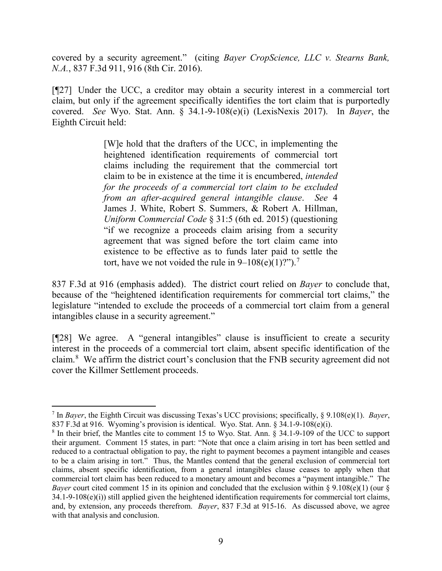covered by a security agreement." (citing *Bayer CropScience, LLC v. Stearns Bank, N.A.*, 837 F.3d 911, 916 (8th Cir. 2016).

[¶27] Under the UCC, a creditor may obtain a security interest in a commercial tort claim, but only if the agreement specifically identifies the tort claim that is purportedly covered. *See* Wyo. Stat. Ann. § 34.1-9-108(e)(i) (LexisNexis 2017). In *Bayer*, the Eighth Circuit held:

> [W]e hold that the drafters of the UCC, in implementing the heightened identification requirements of commercial tort claims including the requirement that the commercial tort claim to be in existence at the time it is encumbered, *intended for the proceeds of a commercial tort claim to be excluded from an after-acquired general intangible clause*. *See* 4 James J. White, Robert S. Summers, & Robert A. Hillman, *Uniform Commercial Code* § 31:5 (6th ed. 2015) (questioning "if we recognize a proceeds claim arising from a security agreement that was signed before the tort claim came into existence to be effective as to funds later paid to settle the tort, have we not voided the rule in  $9-108(e)(1)$ ?").<sup>[7](#page-10-0)</sup>

837 F.3d at 916 (emphasis added). The district court relied on *Bayer* to conclude that, because of the "heightened identification requirements for commercial tort claims," the legislature "intended to exclude the proceeds of a commercial tort claim from a general intangibles clause in a security agreement."

[¶28] We agree. A "general intangibles" clause is insufficient to create a security interest in the proceeds of a commercial tort claim, absent specific identification of the claim.<sup>[8](#page-10-1)</sup> We affirm the district court's conclusion that the FNB security agreement did not cover the Killmer Settlement proceeds.

<span id="page-10-0"></span> <sup>7</sup> In *Bayer*, the Eighth Circuit was discussing Texas's UCC provisions; specifically, § 9.108(e)(1). *Bayer*, 837 F.3d at 916. Wyoming's provision is identical. Wyo. Stat. Ann. § 34.1-9-108(e)(i).

<span id="page-10-1"></span><sup>8</sup> In their brief, the Mantles cite to comment 15 to Wyo. Stat. Ann. § 34.1-9-109 of the UCC to support their argument. Comment 15 states, in part: "Note that once a claim arising in tort has been settled and reduced to a contractual obligation to pay, the right to payment becomes a payment intangible and ceases to be a claim arising in tort." Thus, the Mantles contend that the general exclusion of commercial tort claims, absent specific identification, from a general intangibles clause ceases to apply when that commercial tort claim has been reduced to a monetary amount and becomes a "payment intangible." The *Bayer* court cited comment 15 in its opinion and concluded that the exclusion within § 9.108(e)(1) (our §  $34.1-9-108(e)(i)$ ) still applied given the heightened identification requirements for commercial tort claims, and, by extension, any proceeds therefrom. *Bayer*, 837 F.3d at 915-16. As discussed above, we agree with that analysis and conclusion.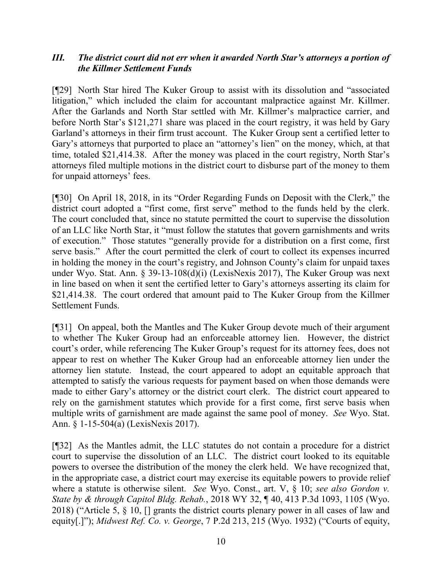## *III. The district court did not err when it awarded North Star's attorneys a portion of the Killmer Settlement Funds*

[¶29] North Star hired The Kuker Group to assist with its dissolution and "associated litigation," which included the claim for accountant malpractice against Mr. Killmer. After the Garlands and North Star settled with Mr. Killmer's malpractice carrier, and before North Star's \$121,271 share was placed in the court registry, it was held by Gary Garland's attorneys in their firm trust account. The Kuker Group sent a certified letter to Gary's attorneys that purported to place an "attorney's lien" on the money, which, at that time, totaled \$21,414.38. After the money was placed in the court registry, North Star's attorneys filed multiple motions in the district court to disburse part of the money to them for unpaid attorneys' fees.

[¶30] On April 18, 2018, in its "Order Regarding Funds on Deposit with the Clerk," the district court adopted a "first come, first serve" method to the funds held by the clerk. The court concluded that, since no statute permitted the court to supervise the dissolution of an LLC like North Star, it "must follow the statutes that govern garnishments and writs of execution." Those statutes "generally provide for a distribution on a first come, first serve basis." After the court permitted the clerk of court to collect its expenses incurred in holding the money in the court's registry, and Johnson County's claim for unpaid taxes under Wyo. Stat. Ann. § 39-13-108(d)(i) (LexisNexis 2017), The Kuker Group was next in line based on when it sent the certified letter to Gary's attorneys asserting its claim for \$21,414.38. The court ordered that amount paid to The Kuker Group from the Killmer Settlement Funds.

[¶31] On appeal, both the Mantles and The Kuker Group devote much of their argument to whether The Kuker Group had an enforceable attorney lien. However, the district court's order, while referencing The Kuker Group's request for its attorney fees, does not appear to rest on whether The Kuker Group had an enforceable attorney lien under the attorney lien statute. Instead, the court appeared to adopt an equitable approach that attempted to satisfy the various requests for payment based on when those demands were made to either Gary's attorney or the district court clerk. The district court appeared to rely on the garnishment statutes which provide for a first come, first serve basis when multiple writs of garnishment are made against the same pool of money. *See* Wyo. Stat. Ann. § 1-15-504(a) (LexisNexis 2017).

[¶32] As the Mantles admit, the LLC statutes do not contain a procedure for a district court to supervise the dissolution of an LLC. The district court looked to its equitable powers to oversee the distribution of the money the clerk held. We have recognized that, in the appropriate case, a district court may exercise its equitable powers to provide relief where a statute is otherwise silent. *See* Wyo. Const., art. V, § 10; *see also Gordon v. State by & through Capitol Bldg. Rehab.*, 2018 WY 32, ¶ 40, 413 P.3d 1093, 1105 (Wyo. 2018) ("Article 5, § 10, [] grants the district courts plenary power in all cases of law and equity[.]"); *Midwest Ref. Co. v. George*, 7 P.2d 213, 215 (Wyo. 1932) ("Courts of equity,